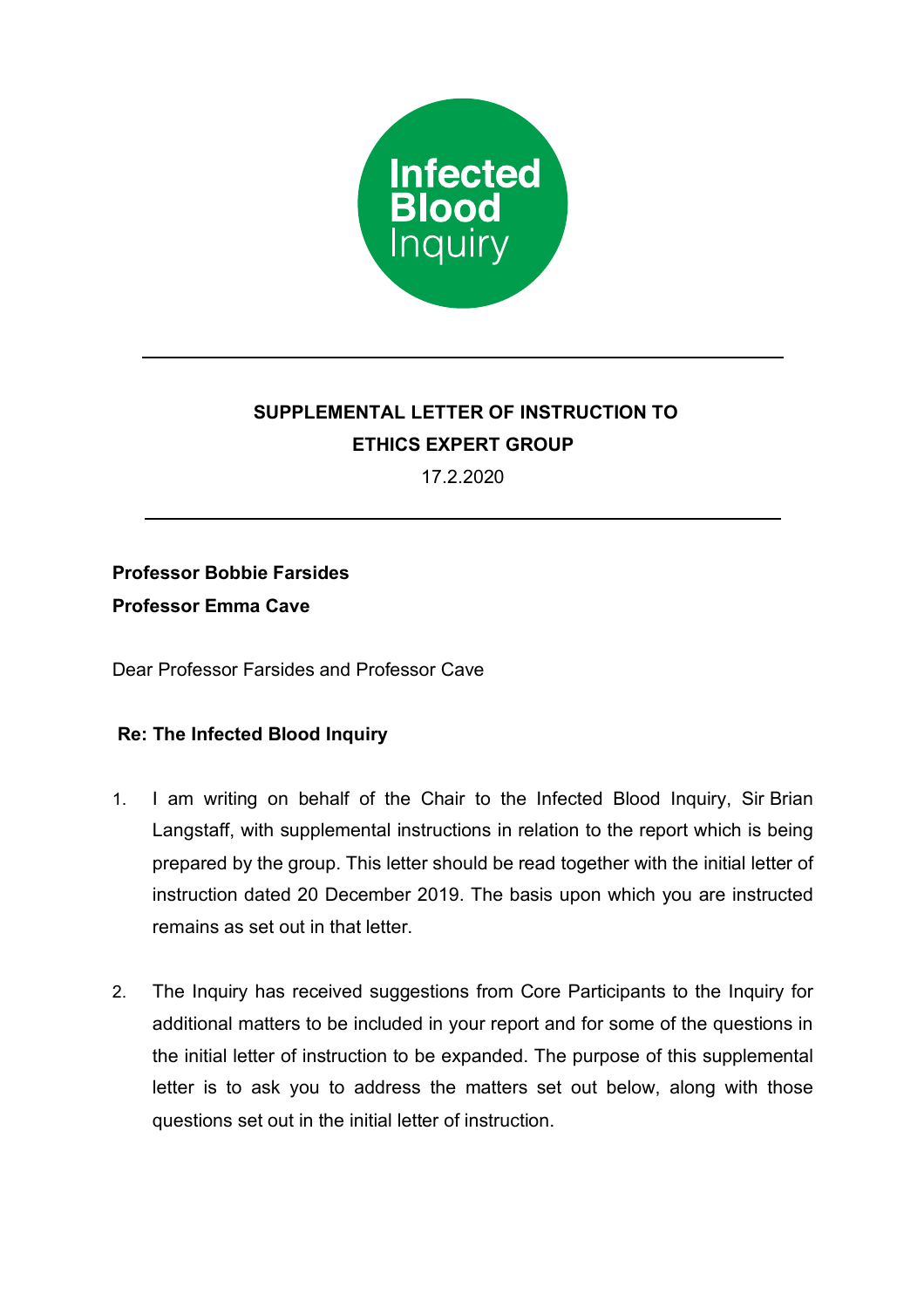

# **SUPPLEMENTAL LETTER OF INSTRUCTION TO ETHICS EXPERT GROUP**

17.2.2020

## **Professor Bobbie Farsides**

**Professor Emma Cave**

Dear Professor Farsides and Professor Cave

### **Re: The Infected Blood Inquiry**

- 1. I am writing on behalf of the Chair to the Infected Blood Inquiry, Sir Brian Langstaff, with supplemental instructions in relation to the report which is being prepared by the group. This letter should be read together with the initial letter of instruction dated 20 December 2019. The basis upon which you are instructed remains as set out in that letter.
- 2. The Inquiry has received suggestions from Core Participants to the Inquiry for additional matters to be included in your report and for some of the questions in the initial letter of instruction to be expanded. The purpose of this supplemental letter is to ask you to address the matters set out below, along with those questions set out in the initial letter of instruction.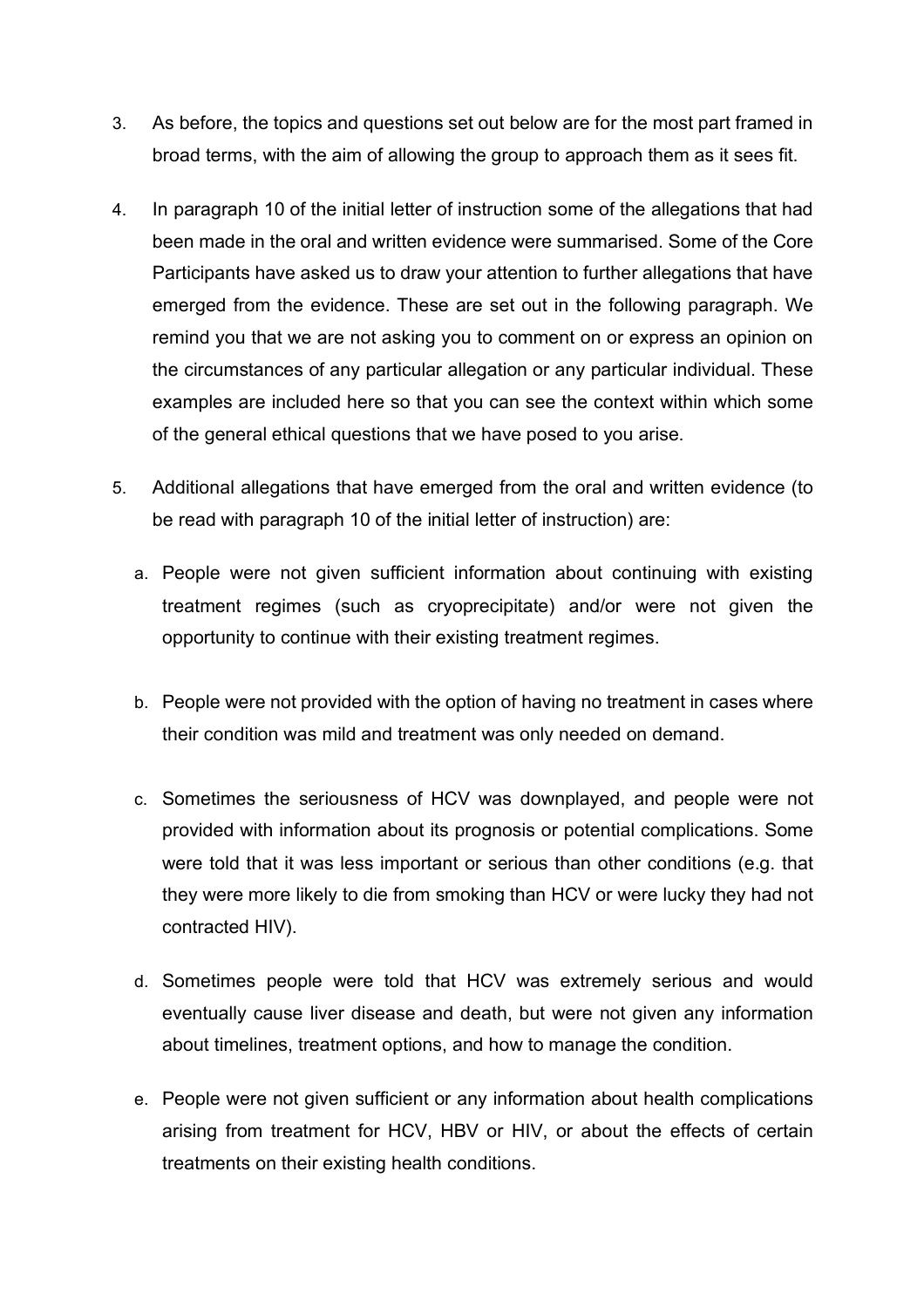- 3. As before, the topics and questions set out below are for the most part framed in broad terms, with the aim of allowing the group to approach them as it sees fit.
- 4. In paragraph 10 of the initial letter of instruction some of the allegations that had been made in the oral and written evidence were summarised. Some of the Core Participants have asked us to draw your attention to further allegations that have emerged from the evidence. These are set out in the following paragraph. We remind you that we are not asking you to comment on or express an opinion on the circumstances of any particular allegation or any particular individual. These examples are included here so that you can see the context within which some of the general ethical questions that we have posed to you arise.
- 5. Additional allegations that have emerged from the oral and written evidence (to be read with paragraph 10 of the initial letter of instruction) are:
	- a. People were not given sufficient information about continuing with existing treatment regimes (such as cryoprecipitate) and/or were not given the opportunity to continue with their existing treatment regimes.
	- b. People were not provided with the option of having no treatment in cases where their condition was mild and treatment was only needed on demand.
	- c. Sometimes the seriousness of HCV was downplayed, and people were not provided with information about its prognosis or potential complications. Some were told that it was less important or serious than other conditions (e.g. that they were more likely to die from smoking than HCV or were lucky they had not contracted HIV).
	- d. Sometimes people were told that HCV was extremely serious and would eventually cause liver disease and death, but were not given any information about timelines, treatment options, and how to manage the condition.
	- e. People were not given sufficient or any information about health complications arising from treatment for HCV, HBV or HIV, or about the effects of certain treatments on their existing health conditions.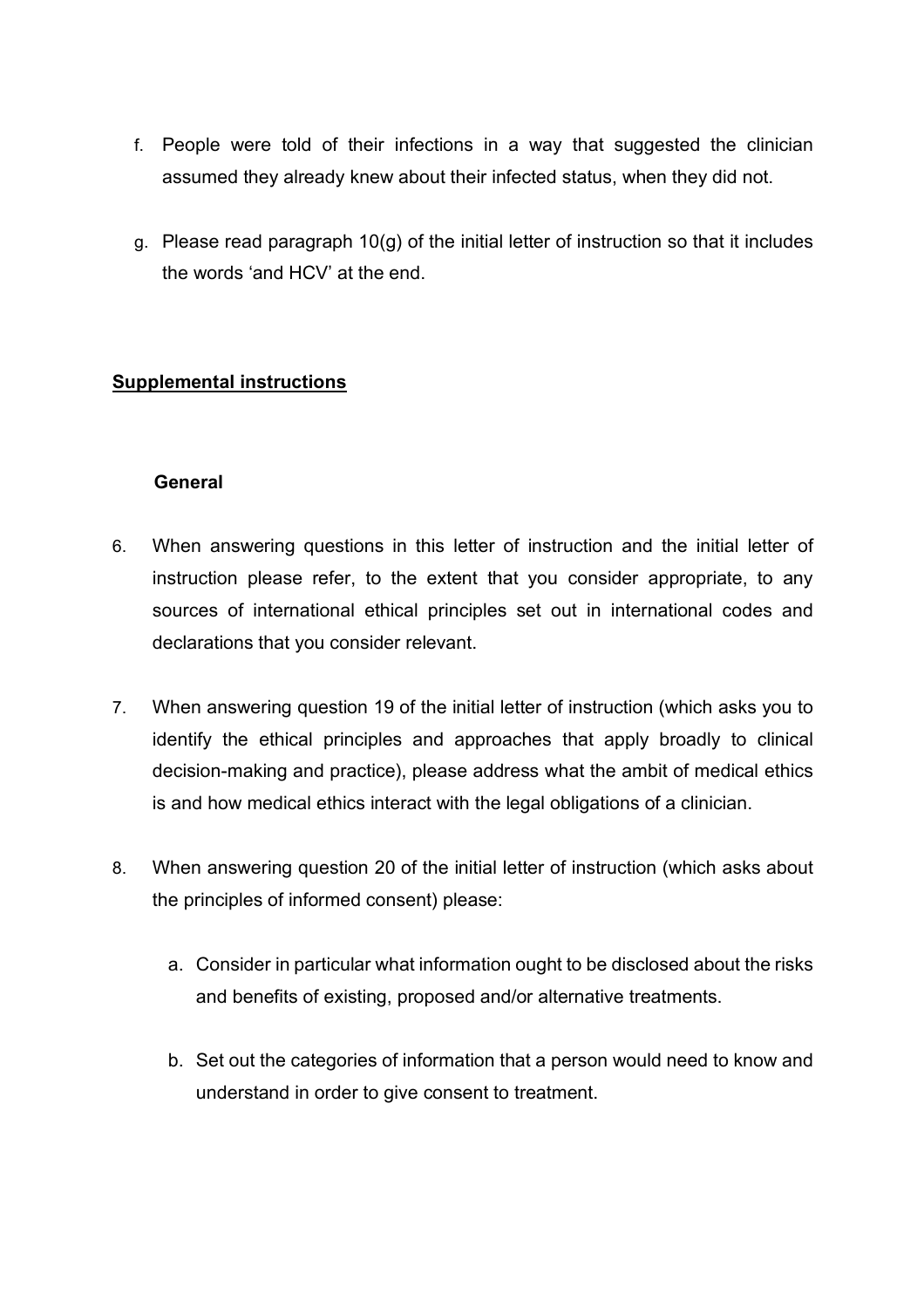- f. People were told of their infections in a way that suggested the clinician assumed they already knew about their infected status, when they did not.
- g. Please read paragraph 10(g) of the initial letter of instruction so that it includes the words 'and HCV' at the end.

#### **Supplemental instructions**

#### **General**

- 6. When answering questions in this letter of instruction and the initial letter of instruction please refer, to the extent that you consider appropriate, to any sources of international ethical principles set out in international codes and declarations that you consider relevant.
- 7. When answering question 19 of the initial letter of instruction (which asks you to identify the ethical principles and approaches that apply broadly to clinical decision-making and practice), please address what the ambit of medical ethics is and how medical ethics interact with the legal obligations of a clinician.
- 8. When answering question 20 of the initial letter of instruction (which asks about the principles of informed consent) please:
	- a. Consider in particular what information ought to be disclosed about the risks and benefits of existing, proposed and/or alternative treatments.
	- b. Set out the categories of information that a person would need to know and understand in order to give consent to treatment.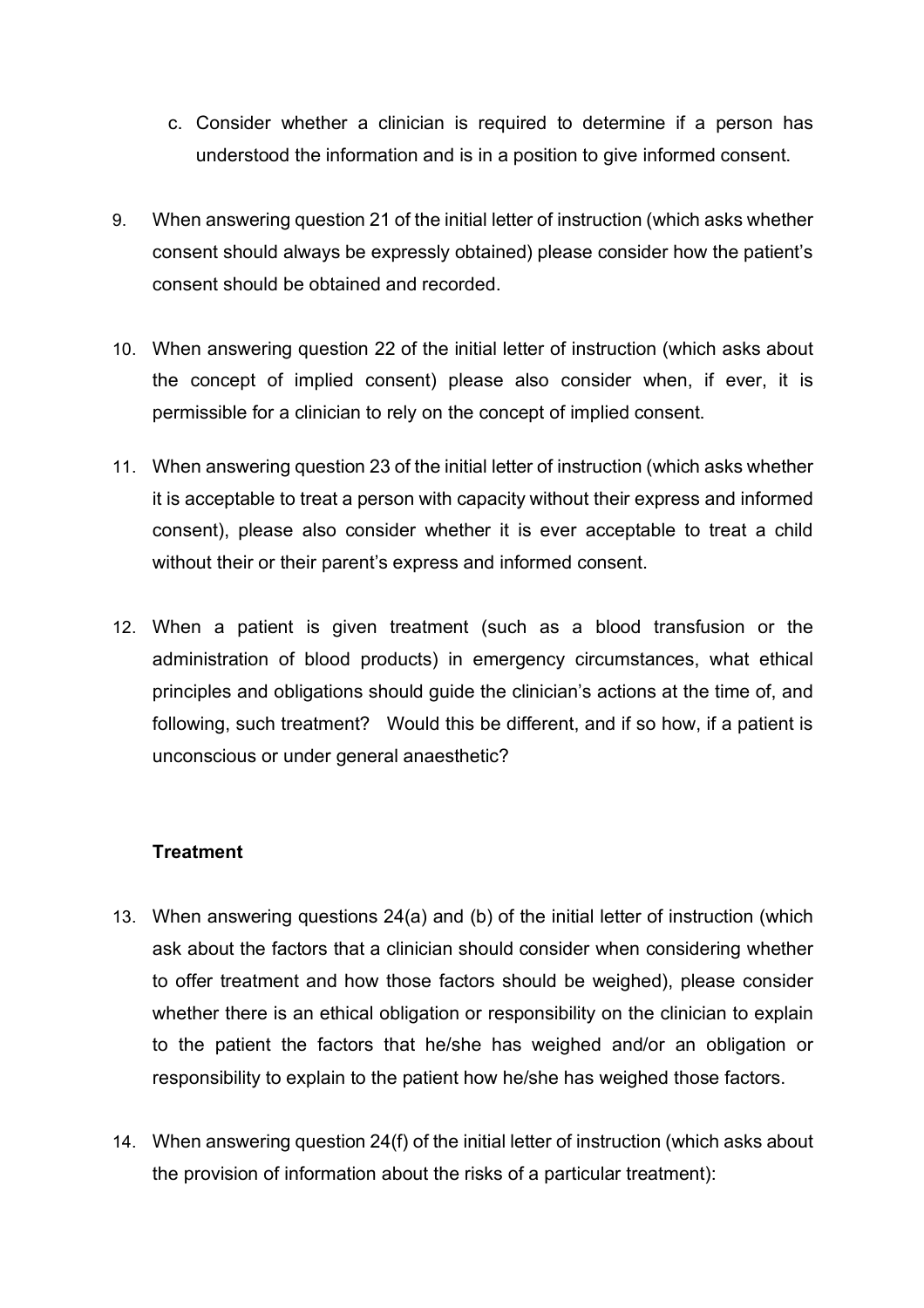- c. Consider whether a clinician is required to determine if a person has understood the information and is in a position to give informed consent.
- 9. When answering question 21 of the initial letter of instruction (which asks whether consent should always be expressly obtained) please consider how the patient's consent should be obtained and recorded.
- 10. When answering question 22 of the initial letter of instruction (which asks about the concept of implied consent) please also consider when, if ever, it is permissible for a clinician to rely on the concept of implied consent.
- 11. When answering question 23 of the initial letter of instruction (which asks whether it is acceptable to treat a person with capacity without their express and informed consent), please also consider whether it is ever acceptable to treat a child without their or their parent's express and informed consent.
- 12. When a patient is given treatment (such as a blood transfusion or the administration of blood products) in emergency circumstances, what ethical principles and obligations should guide the clinician's actions at the time of, and following, such treatment? Would this be different, and if so how, if a patient is unconscious or under general anaesthetic?

#### **Treatment**

- 13. When answering questions 24(a) and (b) of the initial letter of instruction (which ask about the factors that a clinician should consider when considering whether to offer treatment and how those factors should be weighed), please consider whether there is an ethical obligation or responsibility on the clinician to explain to the patient the factors that he/she has weighed and/or an obligation or responsibility to explain to the patient how he/she has weighed those factors.
- 14. When answering question 24(f) of the initial letter of instruction (which asks about the provision of information about the risks of a particular treatment):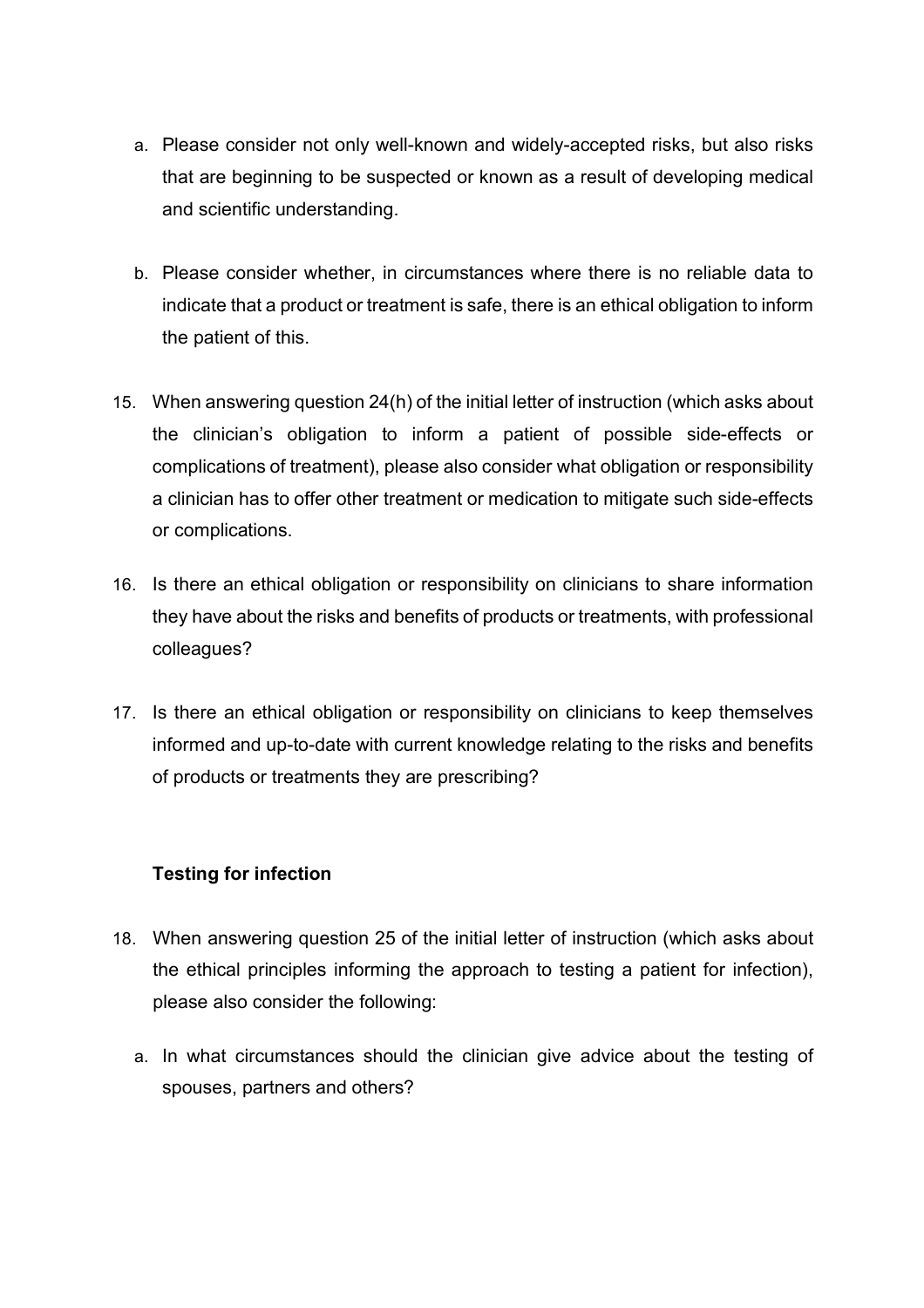- a. Please consider not only well-known and widely-accepted risks, but also risks that are beginning to be suspected or known as a result of developing medical and scientific understanding.
- b. Please consider whether, in circumstances where there is no reliable data to indicate that a product or treatment is safe, there is an ethical obligation to inform the patient of this.
- 15. When answering question 24(h) of the initial letter of instruction (which asks about the clinician's obligation to inform a patient of possible side-effects or complications of treatment), please also consider what obligation or responsibility a clinician has to offer other treatment or medication to mitigate such side-effects or complications.
- 16. Is there an ethical obligation or responsibility on clinicians to share information they have about the risks and benefits of products or treatments, with professional colleagues?
- 17. Is there an ethical obligation or responsibility on clinicians to keep themselves informed and up-to-date with current knowledge relating to the risks and benefits of products or treatments they are prescribing?

### **Testing for infection**

- 18. When answering question 25 of the initial letter of instruction (which asks about the ethical principles informing the approach to testing a patient for infection), please also consider the following:
	- a. In what circumstances should the clinician give advice about the testing of spouses, partners and others?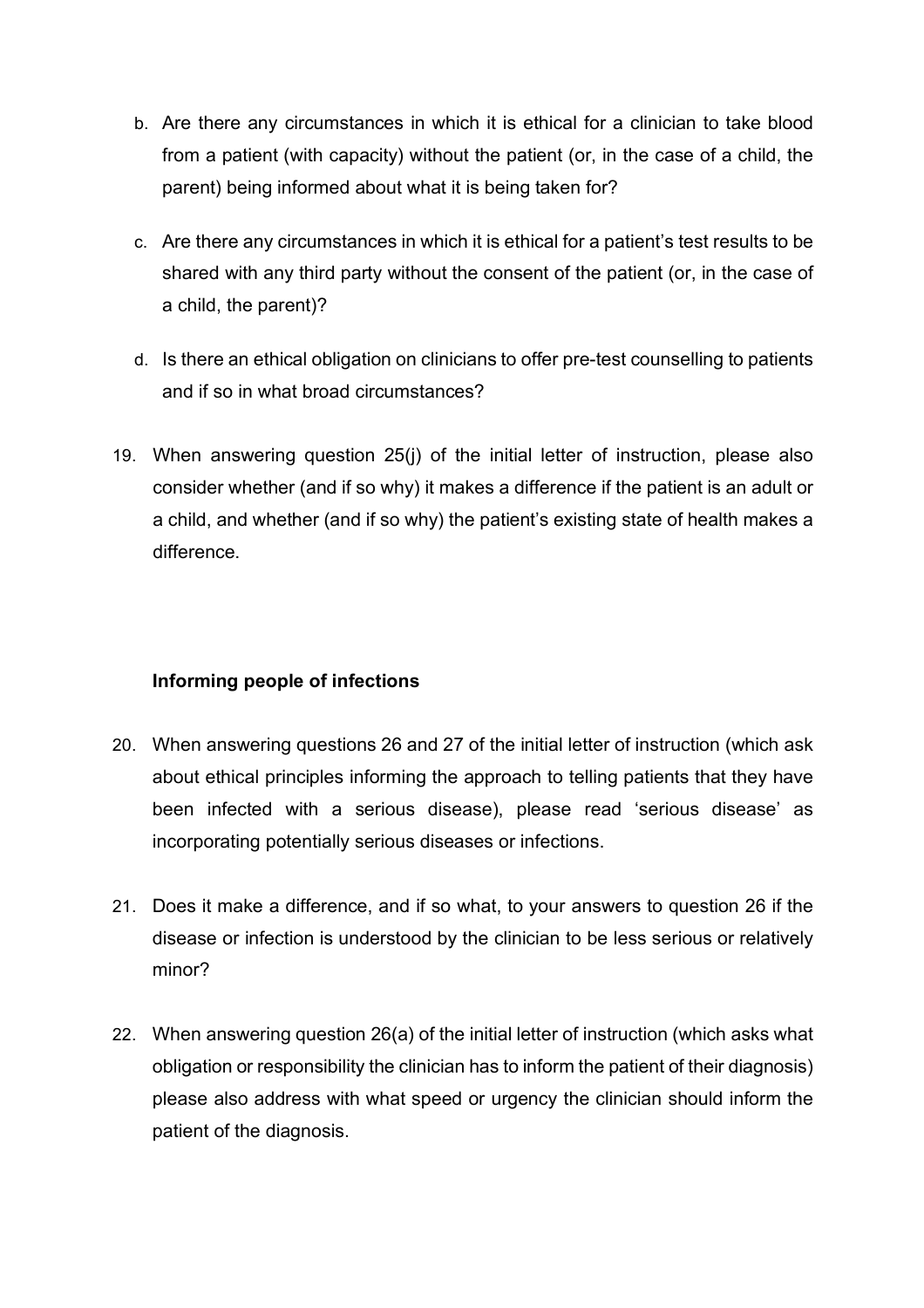- b. Are there any circumstances in which it is ethical for a clinician to take blood from a patient (with capacity) without the patient (or, in the case of a child, the parent) being informed about what it is being taken for?
- c. Are there any circumstances in which it is ethical for a patient's test results to be shared with any third party without the consent of the patient (or, in the case of a child, the parent)?
- d. Is there an ethical obligation on clinicians to offer pre-test counselling to patients and if so in what broad circumstances?
- 19. When answering question 25(j) of the initial letter of instruction, please also consider whether (and if so why) it makes a difference if the patient is an adult or a child, and whether (and if so why) the patient's existing state of health makes a difference.

### **Informing people of infections**

- 20. When answering questions 26 and 27 of the initial letter of instruction (which ask about ethical principles informing the approach to telling patients that they have been infected with a serious disease), please read 'serious disease' as incorporating potentially serious diseases or infections.
- 21. Does it make a difference, and if so what, to your answers to question 26 if the disease or infection is understood by the clinician to be less serious or relatively minor?
- 22. When answering question 26(a) of the initial letter of instruction (which asks what obligation or responsibility the clinician has to inform the patient of their diagnosis) please also address with what speed or urgency the clinician should inform the patient of the diagnosis.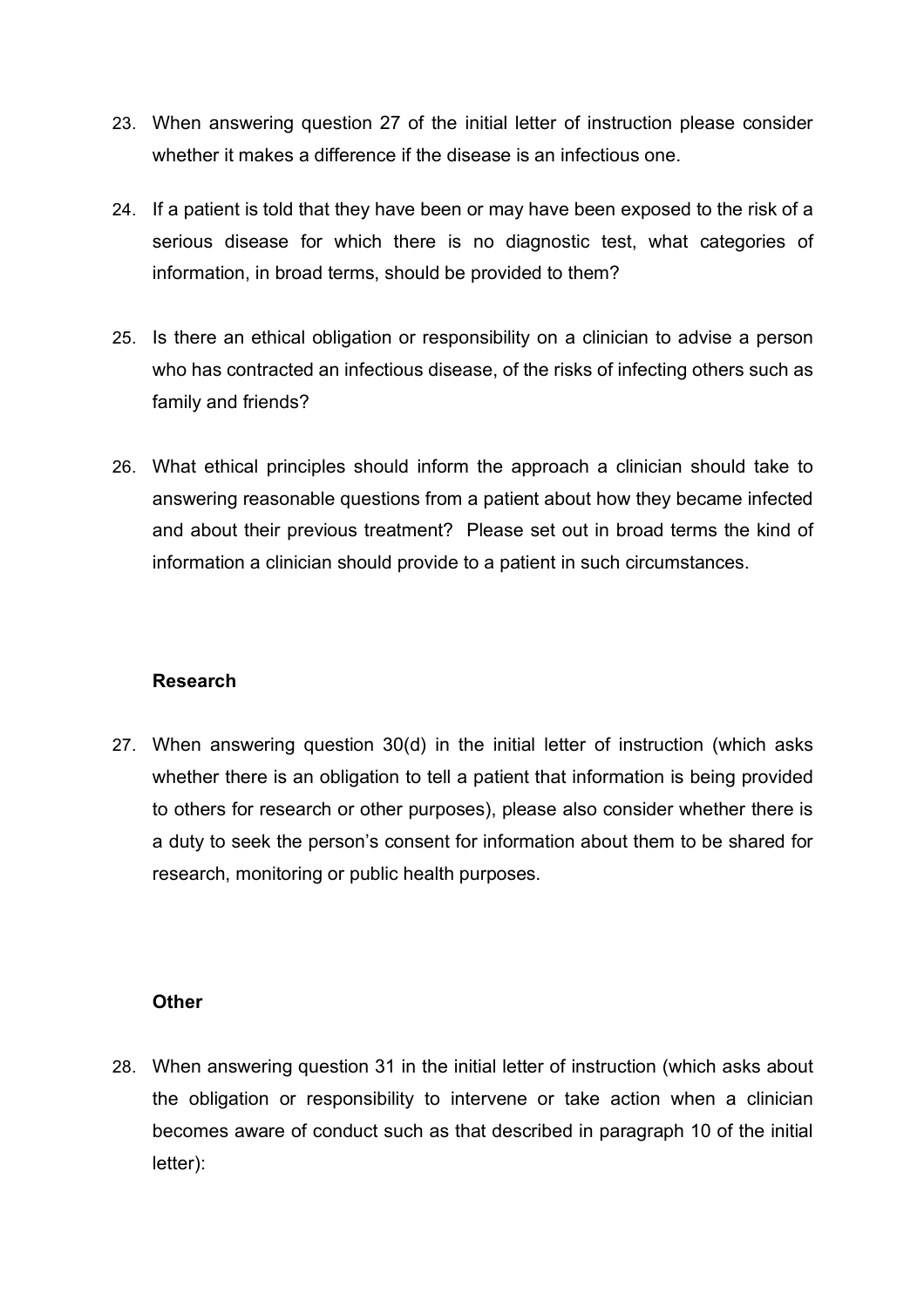- 23. When answering question 27 of the initial letter of instruction please consider whether it makes a difference if the disease is an infectious one.
- 24. If a patient is told that they have been or may have been exposed to the risk of a serious disease for which there is no diagnostic test, what categories of information, in broad terms, should be provided to them?
- 25. Is there an ethical obligation or responsibility on a clinician to advise a person who has contracted an infectious disease, of the risks of infecting others such as family and friends?
- 26. What ethical principles should inform the approach a clinician should take to answering reasonable questions from a patient about how they became infected and about their previous treatment? Please set out in broad terms the kind of information a clinician should provide to a patient in such circumstances.

### **Research**

27. When answering question 30(d) in the initial letter of instruction (which asks whether there is an obligation to tell a patient that information is being provided to others for research or other purposes), please also consider whether there is a duty to seek the person's consent for information about them to be shared for research, monitoring or public health purposes.

### **Other**

28. When answering question 31 in the initial letter of instruction (which asks about the obligation or responsibility to intervene or take action when a clinician becomes aware of conduct such as that described in paragraph 10 of the initial letter):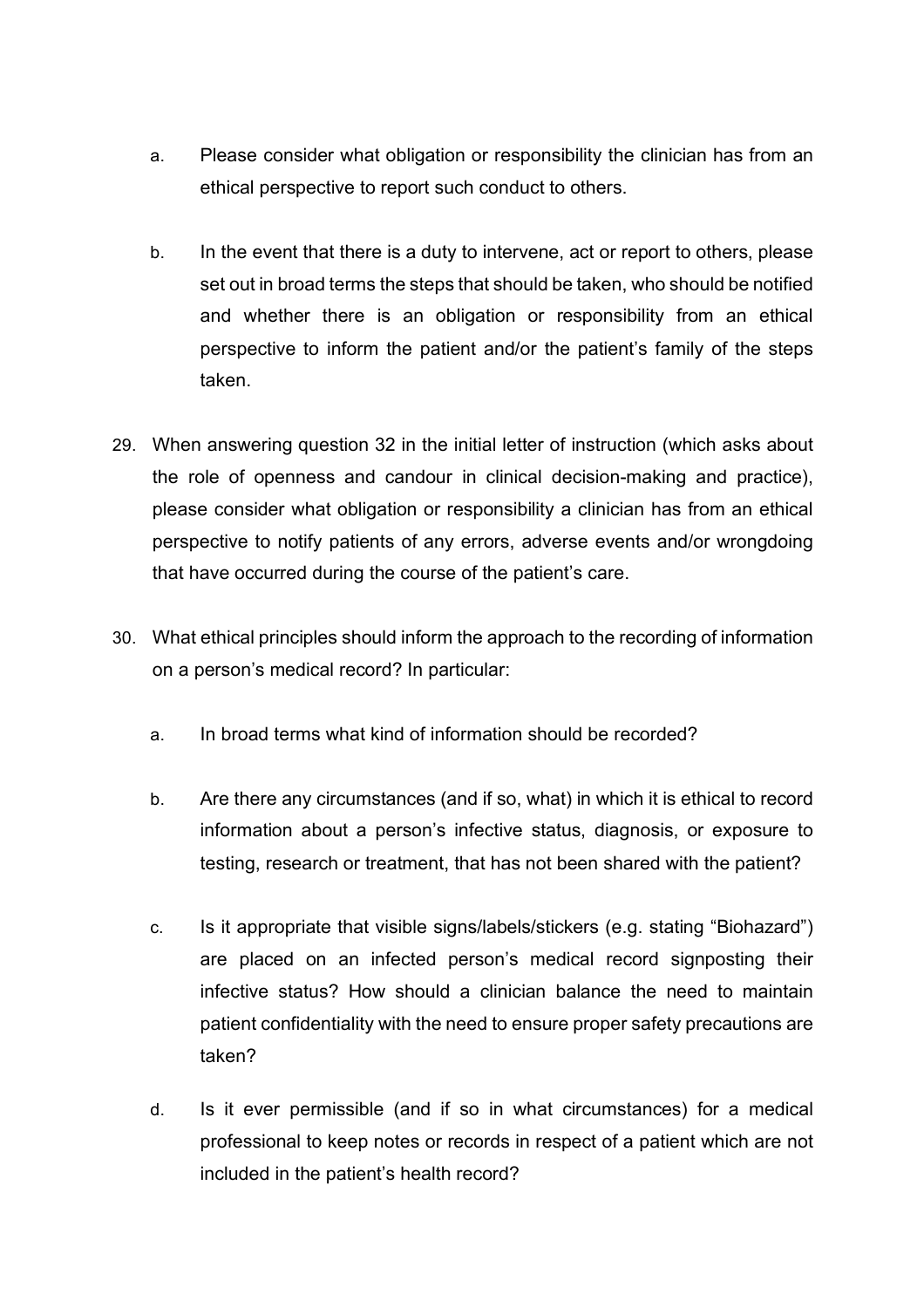- a. Please consider what obligation or responsibility the clinician has from an ethical perspective to report such conduct to others.
- b. In the event that there is a duty to intervene, act or report to others, please set out in broad terms the steps that should be taken, who should be notified and whether there is an obligation or responsibility from an ethical perspective to inform the patient and/or the patient's family of the steps taken.
- 29. When answering question 32 in the initial letter of instruction (which asks about the role of openness and candour in clinical decision-making and practice), please consider what obligation or responsibility a clinician has from an ethical perspective to notify patients of any errors, adverse events and/or wrongdoing that have occurred during the course of the patient's care.
- 30. What ethical principles should inform the approach to the recording of information on a person's medical record? In particular:
	- a. In broad terms what kind of information should be recorded?
	- b. Are there any circumstances (and if so, what) in which it is ethical to record information about a person's infective status, diagnosis, or exposure to testing, research or treatment, that has not been shared with the patient?
	- c. Is it appropriate that visible signs/labels/stickers (e.g. stating "Biohazard") are placed on an infected person's medical record signposting their infective status? How should a clinician balance the need to maintain patient confidentiality with the need to ensure proper safety precautions are taken?
	- d. Is it ever permissible (and if so in what circumstances) for a medical professional to keep notes or records in respect of a patient which are not included in the patient's health record?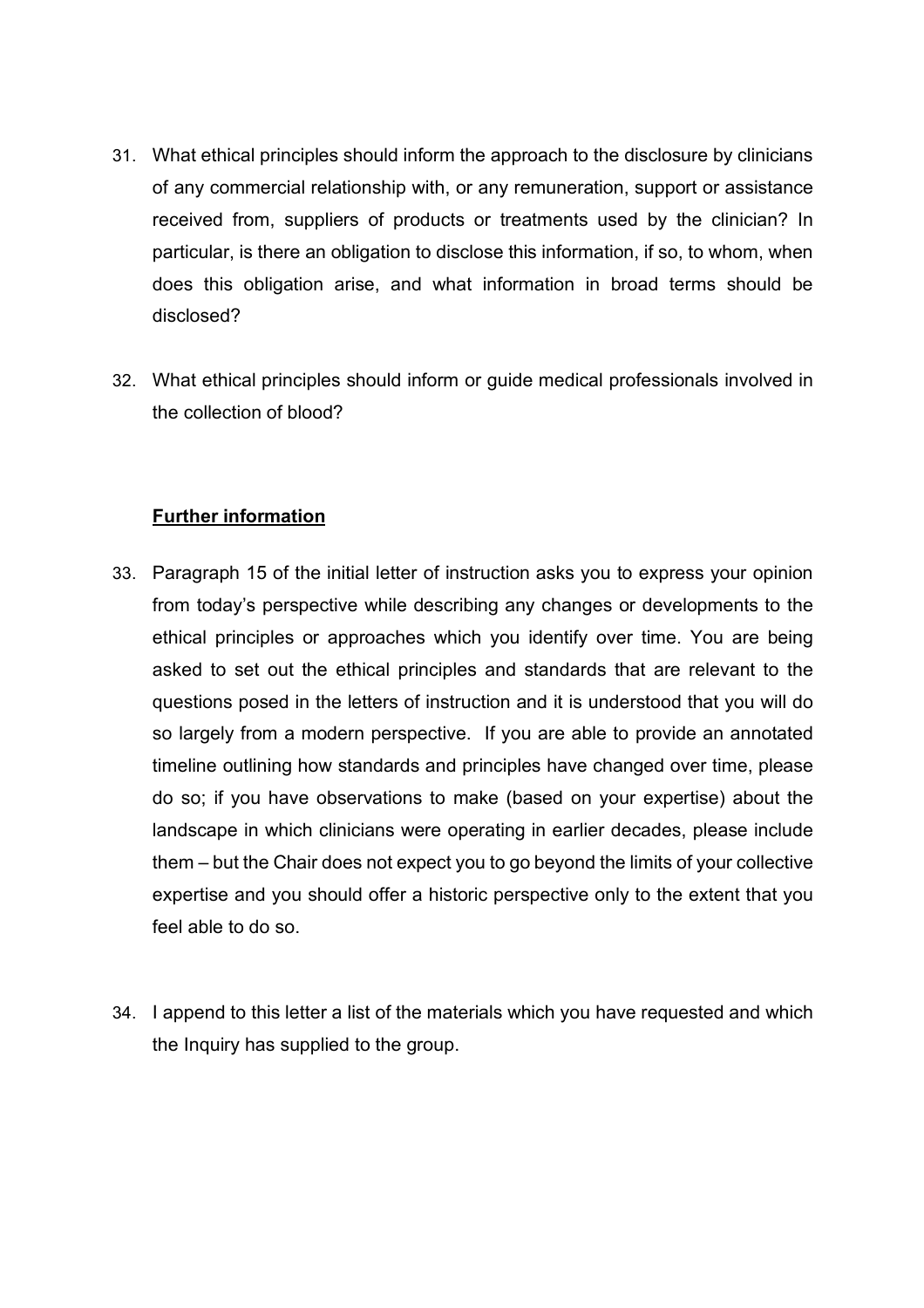- 31. What ethical principles should inform the approach to the disclosure by clinicians of any commercial relationship with, or any remuneration, support or assistance received from, suppliers of products or treatments used by the clinician? In particular, is there an obligation to disclose this information, if so, to whom, when does this obligation arise, and what information in broad terms should be disclosed?
- 32. What ethical principles should inform or guide medical professionals involved in the collection of blood?

#### **Further information**

- 33. Paragraph 15 of the initial letter of instruction asks you to express your opinion from today's perspective while describing any changes or developments to the ethical principles or approaches which you identify over time. You are being asked to set out the ethical principles and standards that are relevant to the questions posed in the letters of instruction and it is understood that you will do so largely from a modern perspective. If you are able to provide an annotated timeline outlining how standards and principles have changed over time, please do so; if you have observations to make (based on your expertise) about the landscape in which clinicians were operating in earlier decades, please include them – but the Chair does not expect you to go beyond the limits of your collective expertise and you should offer a historic perspective only to the extent that you feel able to do so.
- 34. I append to this letter a list of the materials which you have requested and which the Inquiry has supplied to the group.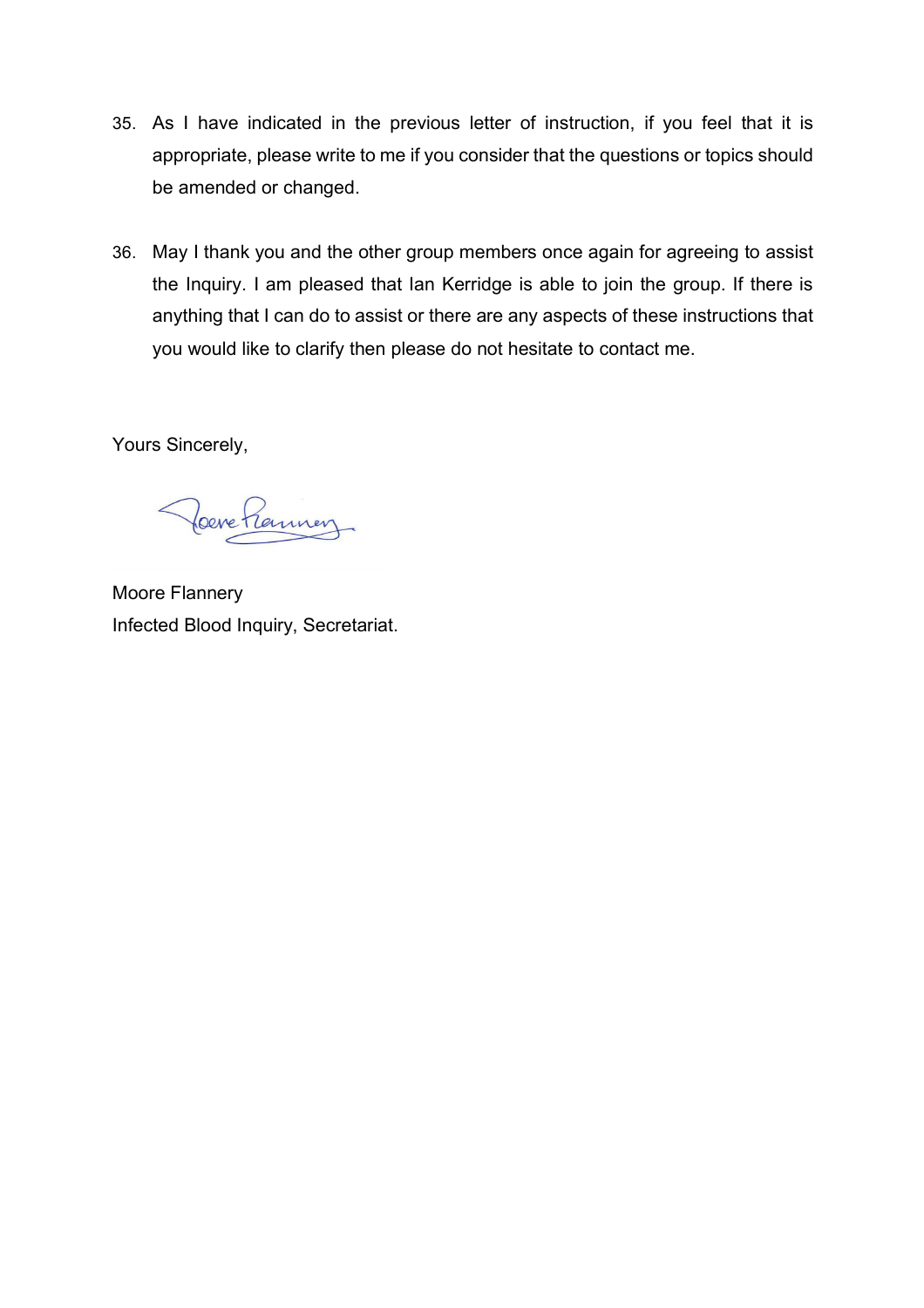- 35. As I have indicated in the previous letter of instruction, if you feel that it is appropriate, please write to me if you consider that the questions or topics should be amended or changed.
- 36. May I thank you and the other group members once again for agreeing to assist the Inquiry. I am pleased that Ian Kerridge is able to join the group. If there is anything that I can do to assist or there are any aspects of these instructions that you would like to clarify then please do not hesitate to contact me.

Yours Sincerely,

Poere Premier

Moore Flannery Infected Blood Inquiry, Secretariat.